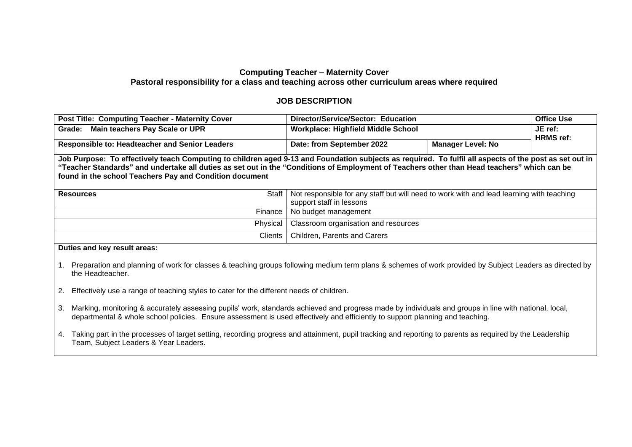## **Computing Teacher – Maternity Cover Pastoral responsibility for a class and teaching across other curriculum areas where required**

## **JOB DESCRIPTION**

| <b>Post Title: Computing Teacher - Maternity Cover</b>                                                                                                                                                                                                                                                                                                           | Director/Service/Sector: Education                                                                                   |                          | <b>Office Use</b>           |  |  |
|------------------------------------------------------------------------------------------------------------------------------------------------------------------------------------------------------------------------------------------------------------------------------------------------------------------------------------------------------------------|----------------------------------------------------------------------------------------------------------------------|--------------------------|-----------------------------|--|--|
| Grade: Main teachers Pay Scale or UPR                                                                                                                                                                                                                                                                                                                            | <b>Workplace: Highfield Middle School</b>                                                                            |                          | JE ref:<br><b>HRMS</b> ref: |  |  |
| <b>Responsible to: Headteacher and Senior Leaders</b>                                                                                                                                                                                                                                                                                                            | Date: from September 2022                                                                                            | <b>Manager Level: No</b> |                             |  |  |
| Job Purpose: To effectively teach Computing to children aged 9-13 and Foundation subjects as required. To fulfil all aspects of the post as set out in<br>"Teacher Standards" and undertake all duties as set out in the "Conditions of Employment of Teachers other than Head teachers" which can be<br>found in the school Teachers Pay and Condition document |                                                                                                                      |                          |                             |  |  |
| <b>Resources</b><br>Staff I                                                                                                                                                                                                                                                                                                                                      | Not responsible for any staff but will need to work with and lead learning with teaching<br>support staff in lessons |                          |                             |  |  |
| Finance                                                                                                                                                                                                                                                                                                                                                          | No budget management                                                                                                 |                          |                             |  |  |
| Physical                                                                                                                                                                                                                                                                                                                                                         | Classroom organisation and resources                                                                                 |                          |                             |  |  |
|                                                                                                                                                                                                                                                                                                                                                                  |                                                                                                                      |                          |                             |  |  |

**Duties and key result areas:**

- 1. Preparation and planning of work for classes & teaching groups following medium term plans & schemes of work provided by Subject Leaders as directed by the Headteacher.
- 2. Effectively use a range of teaching styles to cater for the different needs of children.
- 3. Marking, monitoring & accurately assessing pupils' work, standards achieved and progress made by individuals and groups in line with national, local, departmental & whole school policies. Ensure assessment is used effectively and efficiently to support planning and teaching.
- 4. Taking part in the processes of target setting, recording progress and attainment, pupil tracking and reporting to parents as required by the Leadership Team, Subject Leaders & Year Leaders.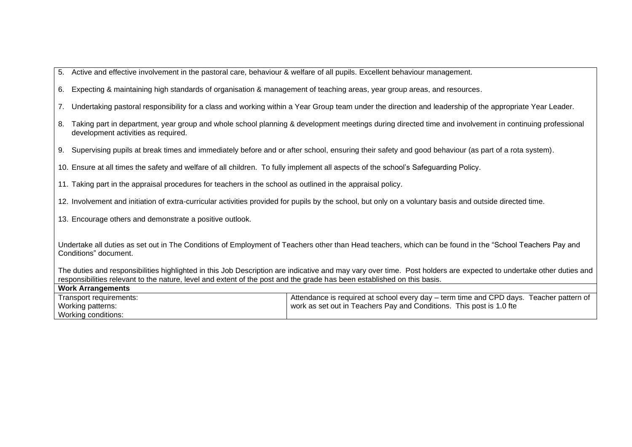| 5. Active and effective involvement in the pastoral care, behaviour & welfare of all pupils. Excellent behaviour management. |  |  |  |
|------------------------------------------------------------------------------------------------------------------------------|--|--|--|
|                                                                                                                              |  |  |  |

- 6. Expecting & maintaining high standards of organisation & management of teaching areas, year group areas, and resources.
- 7. Undertaking pastoral responsibility for a class and working within a Year Group team under the direction and leadership of the appropriate Year Leader.
- 8. Taking part in department, year group and whole school planning & development meetings during directed time and involvement in continuing professional development activities as required.
- 9. Supervising pupils at break times and immediately before and or after school, ensuring their safety and good behaviour (as part of a rota system).

10. Ensure at all times the safety and welfare of all children. To fully implement all aspects of the school's Safeguarding Policy.

11. Taking part in the appraisal procedures for teachers in the school as outlined in the appraisal policy.

12. Involvement and initiation of extra-curricular activities provided for pupils by the school, but only on a voluntary basis and outside directed time.

13. Encourage others and demonstrate a positive outlook.

Undertake all duties as set out in The Conditions of Employment of Teachers other than Head teachers, which can be found in the "School Teachers Pay and Conditions" document.

The duties and responsibilities highlighted in this Job Description are indicative and may vary over time. Post holders are expected to undertake other duties and responsibilities relevant to the nature, level and extent of the post and the grade has been established on this basis.

| <b>Work Arrangements</b> |                                                                                         |
|--------------------------|-----------------------------------------------------------------------------------------|
| Transport requirements:  | Attendance is required at school every day – term time and CPD days. Teacher pattern of |
| Working patterns:        | work as set out in Teachers Pay and Conditions. This post is 1.0 fte                    |
| Working conditions:      |                                                                                         |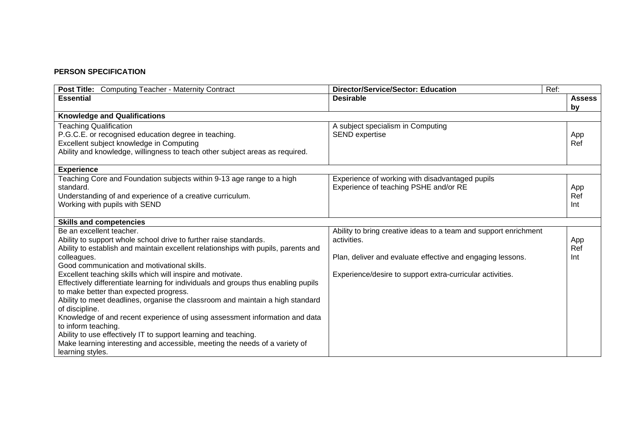## **PERSON SPECIFICATION**

| <b>Post Title:</b> Computing Teacher - Maternity Contract                          | <b>Director/Service/Sector: Education</b>                        | Ref:          |
|------------------------------------------------------------------------------------|------------------------------------------------------------------|---------------|
| <b>Essential</b>                                                                   | <b>Desirable</b>                                                 | <b>Assess</b> |
|                                                                                    |                                                                  | by            |
| <b>Knowledge and Qualifications</b>                                                |                                                                  |               |
| <b>Teaching Qualification</b>                                                      | A subject specialism in Computing                                |               |
| P.G.C.E. or recognised education degree in teaching.                               | <b>SEND</b> expertise                                            | App           |
| Excellent subject knowledge in Computing                                           |                                                                  | Ref           |
| Ability and knowledge, willingness to teach other subject areas as required.       |                                                                  |               |
| <b>Experience</b>                                                                  |                                                                  |               |
| Teaching Core and Foundation subjects within 9-13 age range to a high              | Experience of working with disadvantaged pupils                  |               |
| standard.                                                                          | Experience of teaching PSHE and/or RE                            | App           |
| Understanding of and experience of a creative curriculum.                          |                                                                  | Ref           |
| Working with pupils with SEND                                                      |                                                                  | Int           |
|                                                                                    |                                                                  |               |
| <b>Skills and competencies</b>                                                     |                                                                  |               |
| Be an excellent teacher.                                                           | Ability to bring creative ideas to a team and support enrichment |               |
| Ability to support whole school drive to further raise standards.                  | activities.                                                      | App           |
| Ability to establish and maintain excellent relationships with pupils, parents and |                                                                  | Ref           |
| colleagues.                                                                        | Plan, deliver and evaluate effective and engaging lessons.       | Int           |
| Good communication and motivational skills.                                        |                                                                  |               |
| Excellent teaching skills which will inspire and motivate.                         | Experience/desire to support extra-curricular activities.        |               |
| Effectively differentiate learning for individuals and groups thus enabling pupils |                                                                  |               |
| to make better than expected progress.                                             |                                                                  |               |
| Ability to meet deadlines, organise the classroom and maintain a high standard     |                                                                  |               |
| of discipline.                                                                     |                                                                  |               |
| Knowledge of and recent experience of using assessment information and data        |                                                                  |               |
| to inform teaching.                                                                |                                                                  |               |
| Ability to use effectively IT to support learning and teaching.                    |                                                                  |               |
| Make learning interesting and accessible, meeting the needs of a variety of        |                                                                  |               |
| learning styles.                                                                   |                                                                  |               |